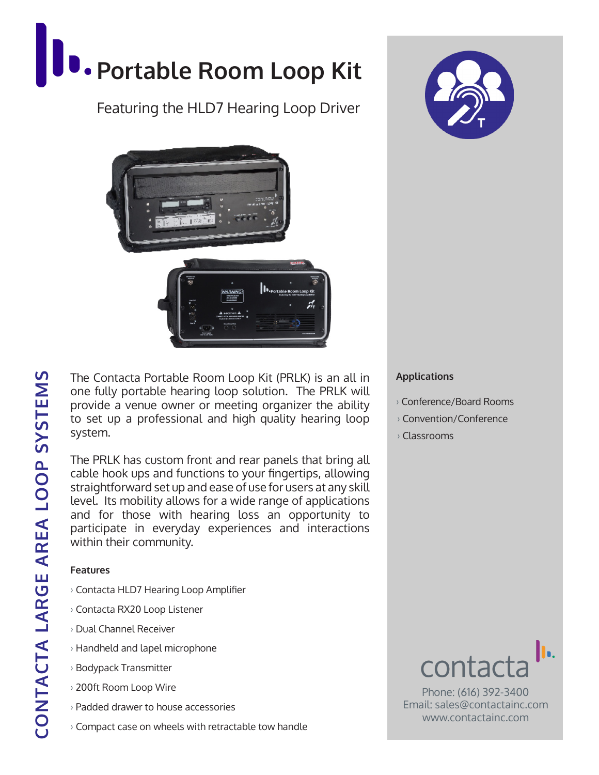# **Portable Room Loop Kit**

## Featuring the HLD7 Hearing Loop Driver



The Contacta Portable Room Loop Kit (PRLK) is an all in one fully portable hearing loop solution. The PRLK will provide a venue owner or meeting organizer the ability to set up a professional and high quality hearing loop system.

The PRLK has custom front and rear panels that bring all cable hook ups and functions to your fingertips, allowing straightforward set up and ease of use for users at any skill level. Its mobility allows for a wide range of applications and for those with hearing loss an opportunity to participate in everyday experiences and interactions within their community.

#### **Features**

- › Contacta HLD7 Hearing Loop Amplifier
- › Contacta RX20 Loop Listener
- › Dual Channel Receiver
- › Handheld and lapel microphone
- › Bodypack Transmitter
- › 200ft Room Loop Wire
- › Padded drawer to house accessories
- › Compact case on wheels with retractable tow handle



#### **Applications**

- › Conference/Board Rooms
- › Convention/Conference
- › Classrooms



Phone: (616) 392-3400 Email: sales@contactainc.com www.contactainc.com